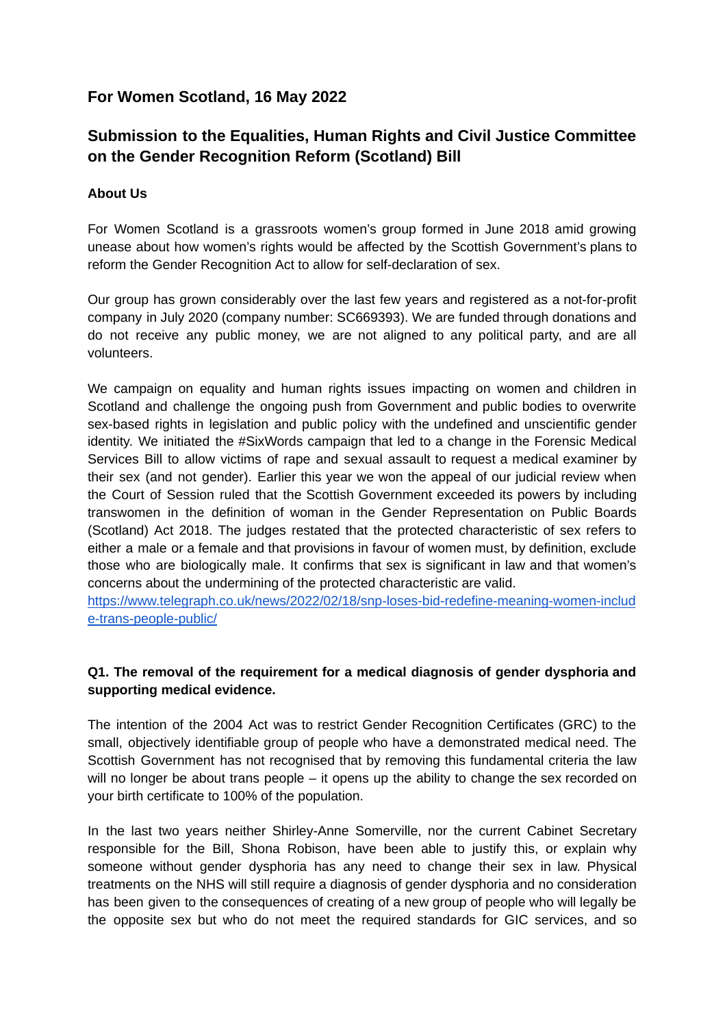# **For Women Scotland, 16 May 2022**

# **Submission to the Equalities, Human Rights and Civil Justice Committee on the Gender Recognition Reform (Scotland) Bill**

#### **About Us**

For Women Scotland is a grassroots women's group formed in June 2018 amid growing unease about how women's rights would be affected by the Scottish Government's plans to reform the Gender Recognition Act to allow for self-declaration of sex.

Our group has grown considerably over the last few years and registered as a not-for-profit company in July 2020 (company number: SC669393). We are funded through donations and do not receive any public money, we are not aligned to any political party, and are all volunteers.

We campaign on equality and human rights issues impacting on women and children in Scotland and challenge the ongoing push from Government and public bodies to overwrite sex-based rights in legislation and public policy with the undefined and unscientific gender identity. We initiated the #SixWords campaign that led to a change in the Forensic Medical Services Bill to allow victims of rape and sexual assault to request a medical examiner by their sex (and not gender). Earlier this year we won the appeal of our judicial review when the Court of Session ruled that the Scottish Government exceeded its powers by including transwomen in the definition of woman in the Gender Representation on Public Boards (Scotland) Act 2018. The judges restated that the protected characteristic of sex refers to either a male or a female and that provisions in favour of women must, by definition, exclude those who are biologically male. It confirms that sex is significant in law and that women's concerns about the undermining of the protected characteristic are valid.

[https://www.telegraph.co.uk/news/2022/02/18/snp-loses-bid-redefine-meaning-women-includ](https://www.telegraph.co.uk/news/2022/02/18/snp-loses-bid-redefine-meaning-women-include-trans-people-public/) [e-trans-people-public/](https://www.telegraph.co.uk/news/2022/02/18/snp-loses-bid-redefine-meaning-women-include-trans-people-public/)

## **Q1. The removal of the requirement for a medical diagnosis of gender dysphoria and supporting medical evidence.**

The intention of the 2004 Act was to restrict Gender Recognition Certificates (GRC) to the small, objectively identifiable group of people who have a demonstrated medical need. The Scottish Government has not recognised that by removing this fundamental criteria the law will no longer be about trans people – it opens up the ability to change the sex recorded on your birth certificate to 100% of the population.

In the last two years neither Shirley-Anne Somerville, nor the current Cabinet Secretary responsible for the Bill, Shona Robison, have been able to justify this, or explain why someone without gender dysphoria has any need to change their sex in law. Physical treatments on the NHS will still require a diagnosis of gender dysphoria and no consideration has been given to the consequences of creating of a new group of people who will legally be the opposite sex but who do not meet the required standards for GIC services, and so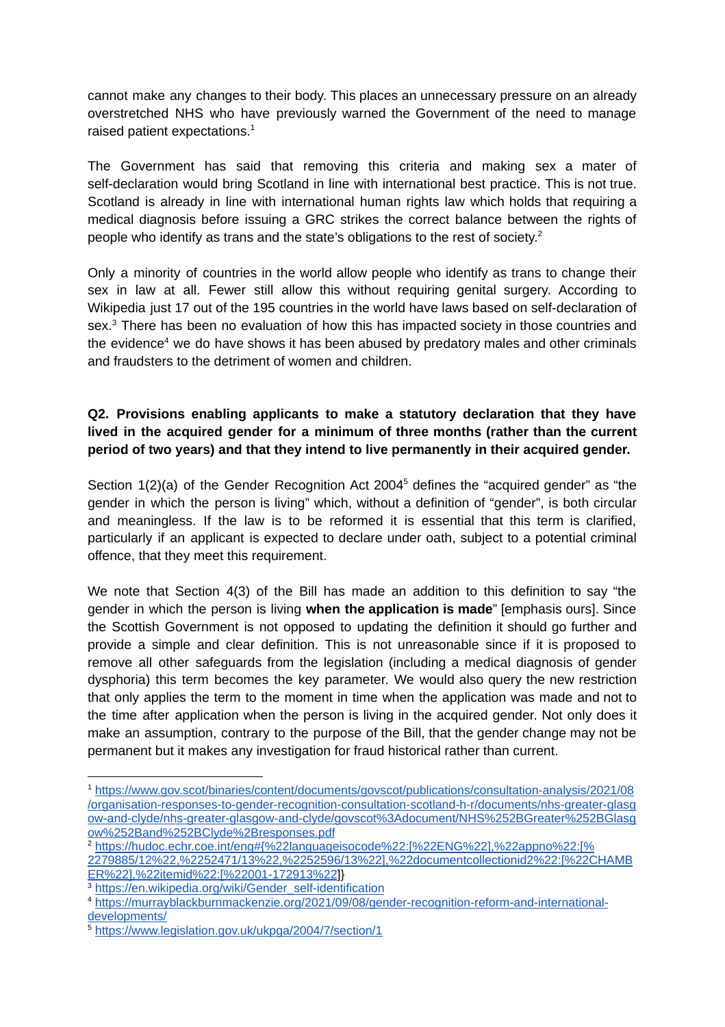cannot make any changes to their body. This places an unnecessary pressure on an already overstretched NHS who have previously warned the Government of the need to manage raised patient expectations. 1

The Government has said that removing this criteria and making sex a mater of self-declaration would bring Scotland in line with international best practice. This is not true. Scotland is already in line with international human rights law which holds that requiring a medical diagnosis before issuing a GRC strikes the correct balance between the rights of people who identify as trans and the state's obligations to the rest of society. 2

Only a minority of countries in the world allow people who identify as trans to change their sex in law at all. Fewer still allow this without requiring genital surgery. According to Wikipedia just 17 out of the 195 countries in the world have laws based on self-declaration of sex.<sup>3</sup> There has been no evaluation of how this has impacted society in those countries and the evidence<sup>4</sup> we do have shows it has been abused by predatory males and other criminals and fraudsters to the detriment of women and children.

### **Q2. Provisions enabling applicants to make a statutory declaration that they have lived in the acquired gender for a minimum of three months (rather than the current period of two years) and that they intend to live permanently in their acquired gender.**

Section 1(2)(a) of the Gender Recognition Act 2004<sup>5</sup> defines the "acquired gender" as "the gender in which the person is living" which, without a definition of "gender", is both circular and meaningless. If the law is to be reformed it is essential that this term is clarified, particularly if an applicant is expected to declare under oath, subject to a potential criminal offence, that they meet this requirement.

We note that Section 4(3) of the Bill has made an addition to this definition to say "the gender in which the person is living **when the application is made**" [emphasis ours]. Since the Scottish Government is not opposed to updating the definition it should go further and provide a simple and clear definition. This is not unreasonable since if it is proposed to remove all other safeguards from the legislation (including a medical diagnosis of gender dysphoria) this term becomes the key parameter. We would also query the new restriction that only applies the term to the moment in time when the application was made and not to the time after application when the person is living in the acquired gender. Not only does it make an assumption, contrary to the purpose of the Bill, that the gender change may not be permanent but it makes any investigation for fraud historical rather than current.

<sup>3</sup> [https://en.wikipedia.org/wiki/Gender\\_self-identification](https://en.wikipedia.org/wiki/Gender_self-identification)

<sup>1</sup> [https://www.gov.scot/binaries/content/documents/govscot/publications/consultation-analysis/2021/08](https://www.gov.scot/binaries/content/documents/govscot/publications/consultation-analysis/2021/08/organisation-responses-to-gender-recognition-consultation-scotland-h-r/documents/nhs-greater-glasgow-and-clyde/nhs-greater-glasgow-and-clyde/govscot%3Adocument/NHS%252BGreater%252BGlasgow%252Band%252BClyde%2Bresponses.pdf) [/organisation-responses-to-gender-recognition-consultation-scotland-h-r/documents/nhs-greater-glasg](https://www.gov.scot/binaries/content/documents/govscot/publications/consultation-analysis/2021/08/organisation-responses-to-gender-recognition-consultation-scotland-h-r/documents/nhs-greater-glasgow-and-clyde/nhs-greater-glasgow-and-clyde/govscot%3Adocument/NHS%252BGreater%252BGlasgow%252Band%252BClyde%2Bresponses.pdf) [ow-and-clyde/nhs-greater-glasgow-and-clyde/govscot%3Adocument/NHS%252BGreater%252BGlasg](https://www.gov.scot/binaries/content/documents/govscot/publications/consultation-analysis/2021/08/organisation-responses-to-gender-recognition-consultation-scotland-h-r/documents/nhs-greater-glasgow-and-clyde/nhs-greater-glasgow-and-clyde/govscot%3Adocument/NHS%252BGreater%252BGlasgow%252Band%252BClyde%2Bresponses.pdf) [ow%252Band%252BClyde%2Bresponses.pdf](https://www.gov.scot/binaries/content/documents/govscot/publications/consultation-analysis/2021/08/organisation-responses-to-gender-recognition-consultation-scotland-h-r/documents/nhs-greater-glasgow-and-clyde/nhs-greater-glasgow-and-clyde/govscot%3Adocument/NHS%252BGreater%252BGlasgow%252Band%252BClyde%2Bresponses.pdf)

<sup>2</sup> [https://hudoc.echr.coe.int/eng#{%22languageisocode%22:\[%22ENG%22\],%22appno%22:\[%](https://hudoc.echr.coe.int/eng#%7B%22languageisocode%22:[%22ENG%22],%22appno%22:[%2279885/12%22,%2252471/13%22,%2252596/13%22],%22documentcollectionid2%22:[%22CHAMBER%22],%22itemid%22:[%22001-172913%22) [2279885/12%22,%2252471/13%22,%2252596/13%22\],%22documentcollectionid2%22:\[%22CHAMB](https://hudoc.echr.coe.int/eng#%7B%22languageisocode%22:[%22ENG%22],%22appno%22:[%2279885/12%22,%2252471/13%22,%2252596/13%22],%22documentcollectionid2%22:[%22CHAMBER%22],%22itemid%22:[%22001-172913%22) [ER%22\],%22itemid%22:\[%22001-172913%22\]](https://hudoc.echr.coe.int/eng#%7B%22languageisocode%22:[%22ENG%22],%22appno%22:[%2279885/12%22,%2252471/13%22,%2252596/13%22],%22documentcollectionid2%22:[%22CHAMBER%22],%22itemid%22:[%22001-172913%22)}

<sup>4</sup> [https://murrayblackburnmackenzie.org/2021/09/08/gender-recognition-reform-and-international](https://murrayblackburnmackenzie.org/2021/09/08/gender-recognition-reform-and-international-developments/)[developments/](https://murrayblackburnmackenzie.org/2021/09/08/gender-recognition-reform-and-international-developments/)

<sup>5</sup> <https://www.legislation.gov.uk/ukpga/2004/7/section/1>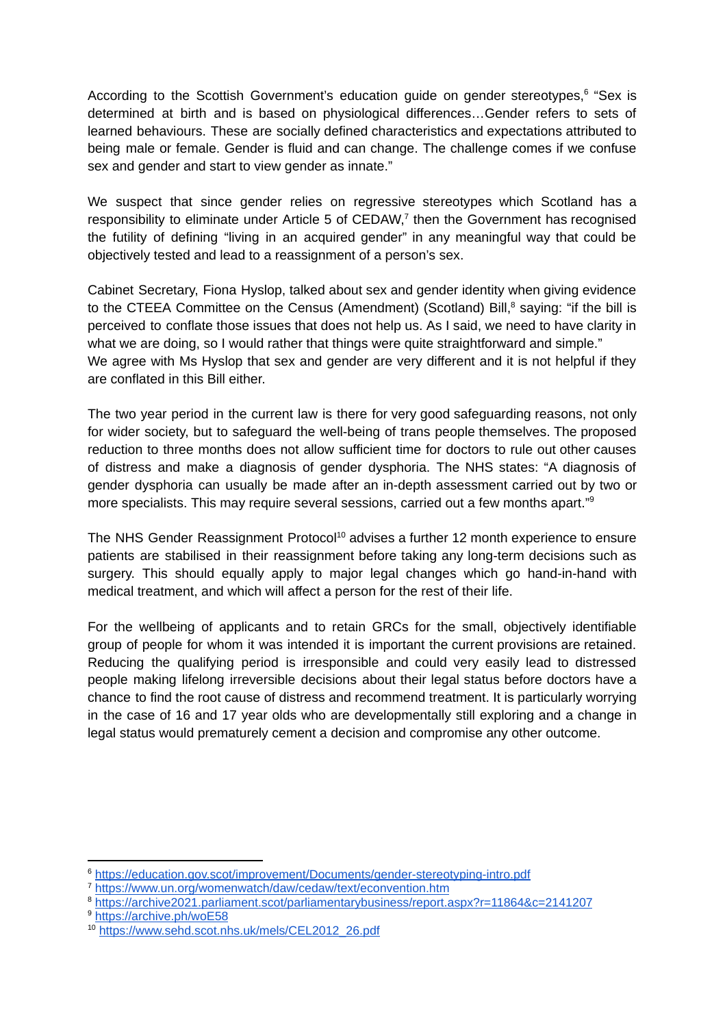According to the Scottish Government's education guide on gender stereotypes,<sup>6</sup> "Sex is determined at birth and is based on physiological differences…Gender refers to sets of learned behaviours. These are socially defined characteristics and expectations attributed to being male or female. Gender is fluid and can change. The challenge comes if we confuse sex and gender and start to view gender as innate."

We suspect that since gender relies on regressive stereotypes which Scotland has a responsibility to eliminate under Article 5 of CEDAW, $<sup>7</sup>$  then the Government has recognised</sup> the futility of defining "living in an acquired gender" in any meaningful way that could be objectively tested and lead to a reassignment of a person's sex.

Cabinet Secretary, Fiona Hyslop, talked about sex and gender identity when giving evidence to the CTEEA Committee on the Census (Amendment) (Scotland) Bill,<sup>8</sup> saying: "if the bill is perceived to conflate those issues that does not help us. As I said, we need to have clarity in what we are doing, so I would rather that things were quite straightforward and simple." We agree with Ms Hyslop that sex and gender are very different and it is not helpful if they are conflated in this Bill either.

The two year period in the current law is there for very good safeguarding reasons, not only for wider society, but to safeguard the well-being of trans people themselves. The proposed reduction to three months does not allow sufficient time for doctors to rule out other causes of distress and make a diagnosis of gender dysphoria. The NHS states: "A diagnosis of gender dysphoria can usually be made after an in-depth assessment carried out by two or more specialists. This may require several sessions, carried out a few months apart."<sup>9</sup>

The NHS Gender Reassignment Protocol<sup>10</sup> advises a further 12 month experience to ensure patients are stabilised in their reassignment before taking any long-term decisions such as surgery. This should equally apply to major legal changes which go hand-in-hand with medical treatment, and which will affect a person for the rest of their life.

For the wellbeing of applicants and to retain GRCs for the small, objectively identifiable group of people for whom it was intended it is important the current provisions are retained. Reducing the qualifying period is irresponsible and could very easily lead to distressed people making lifelong irreversible decisions about their legal status before doctors have a chance to find the root cause of distress and recommend treatment. It is particularly worrying in the case of 16 and 17 year olds who are developmentally still exploring and a change in legal status would prematurely cement a decision and compromise any other outcome.

<sup>6</sup> <https://education.gov.scot/improvement/Documents/gender-stereotyping-intro.pdf>

<sup>7</sup> <https://www.un.org/womenwatch/daw/cedaw/text/econvention.htm>

<sup>8</sup> <https://archive2021.parliament.scot/parliamentarybusiness/report.aspx?r=11864&c=2141207>

<sup>9</sup> <https://archive.ph/woE58>

<sup>10</sup> [https://www.sehd.scot.nhs.uk/mels/CEL2012\\_26.pdf](https://www.sehd.scot.nhs.uk/mels/CEL2012_26.pdf)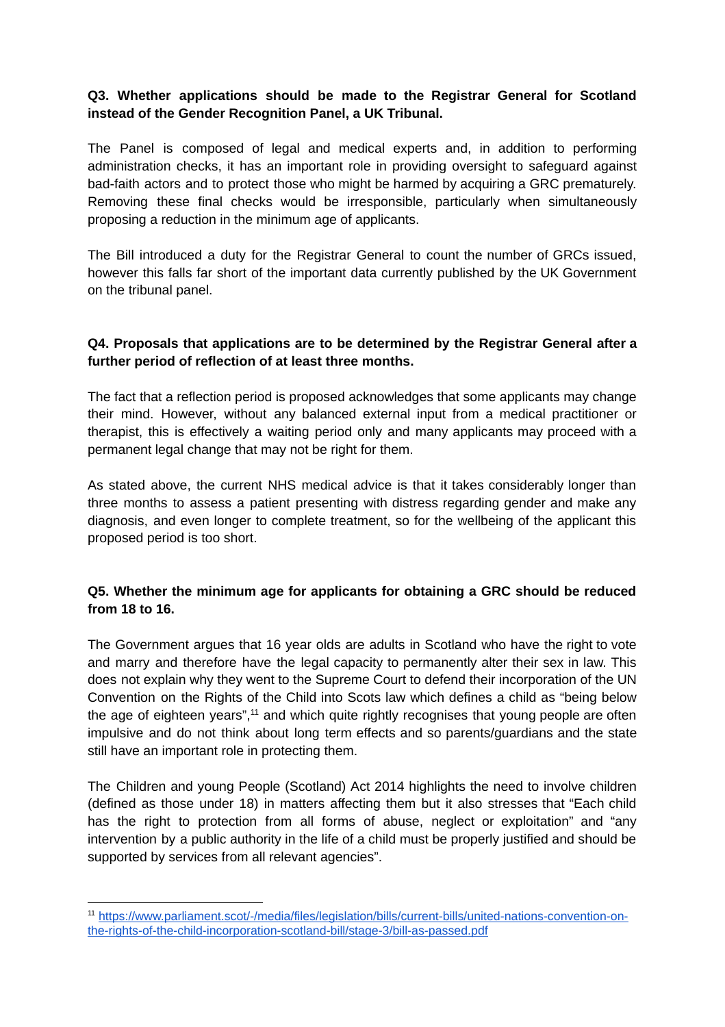#### **Q3. Whether applications should be made to the Registrar General for Scotland instead of the Gender Recognition Panel, a UK Tribunal.**

The Panel is composed of legal and medical experts and, in addition to performing administration checks, it has an important role in providing oversight to safeguard against bad-faith actors and to protect those who might be harmed by acquiring a GRC prematurely. Removing these final checks would be irresponsible, particularly when simultaneously proposing a reduction in the minimum age of applicants.

The Bill introduced a duty for the Registrar General to count the number of GRCs issued, however this falls far short of the important data currently published by the UK Government on the tribunal panel.

#### **Q4. Proposals that applications are to be determined by the Registrar General after a further period of reflection of at least three months.**

The fact that a reflection period is proposed acknowledges that some applicants may change their mind. However, without any balanced external input from a medical practitioner or therapist, this is effectively a waiting period only and many applicants may proceed with a permanent legal change that may not be right for them.

As stated above, the current NHS medical advice is that it takes considerably longer than three months to assess a patient presenting with distress regarding gender and make any diagnosis, and even longer to complete treatment, so for the wellbeing of the applicant this proposed period is too short.

## **Q5. Whether the minimum age for applicants for obtaining a GRC should be reduced from 18 to 16.**

The Government argues that 16 year olds are adults in Scotland who have the right to vote and marry and therefore have the legal capacity to permanently alter their sex in law. This does not explain why they went to the Supreme Court to defend their incorporation of the UN Convention on the Rights of the Child into Scots law which defines a child as "being below the age of eighteen years", $<sup>11</sup>$  and which quite rightly recognises that young people are often</sup> impulsive and do not think about long term effects and so parents/guardians and the state still have an important role in protecting them.

The Children and young People (Scotland) Act 2014 highlights the need to involve children (defined as those under 18) in matters affecting them but it also stresses that "Each child has the right to protection from all forms of abuse, neglect or exploitation" and "any intervention by a public authority in the life of a child must be properly justified and should be supported by services from all relevant agencies".

<sup>11</sup> [https://www.parliament.scot/-/media/files/legislation/bills/current-bills/united-nations-convention-on](https://www.parliament.scot/-/media/files/legislation/bills/current-bills/united-nations-convention-on-the-rights-of-the-child-incorporation-scotland-bill/stage-3/bill-as-passed.pdf)[the-rights-of-the-child-incorporation-scotland-bill/stage-3/bill-as-passed.pdf](https://www.parliament.scot/-/media/files/legislation/bills/current-bills/united-nations-convention-on-the-rights-of-the-child-incorporation-scotland-bill/stage-3/bill-as-passed.pdf)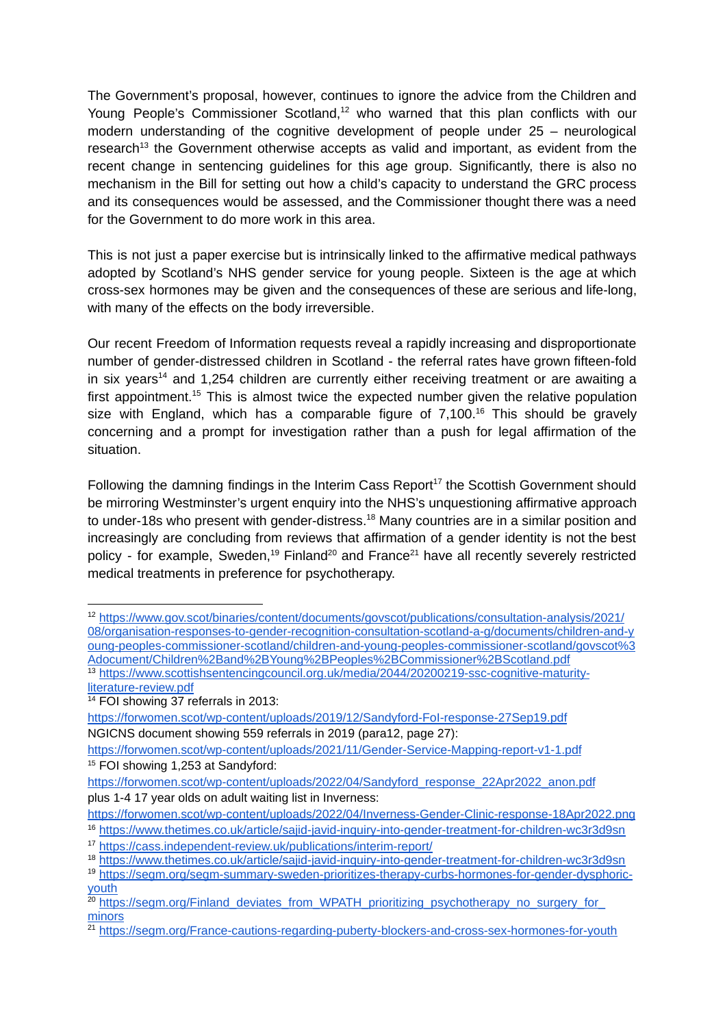The Government's proposal, however, continues to ignore the advice from the Children and Young People's Commissioner Scotland,<sup>12</sup> who warned that this plan conflicts with our modern understanding of the cognitive development of people under 25 – neurological research<sup>13</sup> the Government otherwise accepts as valid and important, as evident from the recent change in sentencing guidelines for this age group. Significantly, there is also no mechanism in the Bill for setting out how a child's capacity to understand the GRC process and its consequences would be assessed, and the Commissioner thought there was a need for the Government to do more work in this area.

This is not just a paper exercise but is intrinsically linked to the affirmative medical pathways adopted by Scotland's NHS gender service for young people. Sixteen is the age at which cross-sex hormones may be given and the consequences of these are serious and life-long, with many of the effects on the body irreversible.

Our recent Freedom of Information requests reveal a rapidly increasing and disproportionate number of gender-distressed children in Scotland - the referral rates have grown fifteen-fold in six years<sup>14</sup> and 1,254 children are currently either receiving treatment or are awaiting a first appointment.<sup>15</sup> This is almost twice the expected number given the relative population size with England, which has a comparable figure of  $7,100$ .<sup>16</sup> This should be gravely concerning and a prompt for investigation rather than a push for legal affirmation of the situation.

Following the damning findings in the Interim Cass Report<sup>17</sup> the Scottish Government should be mirroring Westminster's urgent enquiry into the NHS's unquestioning affirmative approach to under-18s who present with gender-distress.<sup>18</sup> Many countries are in a similar position and increasingly are concluding from reviews that affirmation of a gender identity is not the best policy - for example, Sweden,<sup>19</sup> Finland<sup>20</sup> and France<sup>21</sup> have all recently severely restricted medical treatments in preference for psychotherapy.

<sup>12</sup> [https://www.gov.scot/binaries/content/documents/govscot/publications/consultation-analysis/2021/](https://www.gov.scot/binaries/content/documents/govscot/publications/consultation-analysis/2021/08/organisation-responses-to-gender-recognition-consultation-scotland-a-g/documents/children-and-young-peoples-commissioner-scotland/children-and-young-peoples-commissioner-scotland/govscot%3Adocument/Children%2Band%2BYoung%2BPeoples%2BCommissioner%2BScotland.pdf) [08/organisation-responses-to-gender-recognition-consultation-scotland-a-g/documents/children-and-y](https://www.gov.scot/binaries/content/documents/govscot/publications/consultation-analysis/2021/08/organisation-responses-to-gender-recognition-consultation-scotland-a-g/documents/children-and-young-peoples-commissioner-scotland/children-and-young-peoples-commissioner-scotland/govscot%3Adocument/Children%2Band%2BYoung%2BPeoples%2BCommissioner%2BScotland.pdf) [oung-peoples-commissioner-scotland/children-and-young-peoples-commissioner-scotland/govscot%3](https://www.gov.scot/binaries/content/documents/govscot/publications/consultation-analysis/2021/08/organisation-responses-to-gender-recognition-consultation-scotland-a-g/documents/children-and-young-peoples-commissioner-scotland/children-and-young-peoples-commissioner-scotland/govscot%3Adocument/Children%2Band%2BYoung%2BPeoples%2BCommissioner%2BScotland.pdf) [Adocument/Children%2Band%2BYoung%2BPeoples%2BCommissioner%2BScotland.pdf](https://www.gov.scot/binaries/content/documents/govscot/publications/consultation-analysis/2021/08/organisation-responses-to-gender-recognition-consultation-scotland-a-g/documents/children-and-young-peoples-commissioner-scotland/children-and-young-peoples-commissioner-scotland/govscot%3Adocument/Children%2Band%2BYoung%2BPeoples%2BCommissioner%2BScotland.pdf)

<sup>&</sup>lt;sup>13</sup> [https://www.scottishsentencingcouncil.org.uk/media/2044/20200219-ssc-cognitive-maturity](https://www.scottishsentencingcouncil.org.uk/media/2044/20200219-ssc-cognitive-maturity-literature-review.pdf)[literature-review.pdf](https://www.scottishsentencingcouncil.org.uk/media/2044/20200219-ssc-cognitive-maturity-literature-review.pdf)

 $14$  FOI showing 37 referrals in 2013:

<https://forwomen.scot/wp-content/uploads/2019/12/Sandyford-FoI-response-27Sep19.pdf> NGICNS document showing 559 referrals in 2019 (para12, page 27):

<sup>&</sup>lt;sup>15</sup> FOI showing 1,253 at Sandyford: <https://forwomen.scot/wp-content/uploads/2021/11/Gender-Service-Mapping-report-v1-1.pdf>

[https://forwomen.scot/wp-content/uploads/2022/04/Sandyford\\_response\\_22Apr2022\\_anon.pdf](https://forwomen.scot/wp-content/uploads/2022/04/Sandyford_response_22Apr2022_anon.pdf) plus 1-4 17 year olds on adult waiting list in Inverness:

<sup>16</sup> <https://www.thetimes.co.uk/article/sajid-javid-inquiry-into-gender-treatment-for-children-wc3r3d9sn> <https://forwomen.scot/wp-content/uploads/2022/04/Inverness-Gender-Clinic-response-18Apr2022.png>

<sup>17</sup> <https://cass.independent-review.uk/publications/interim-report/>

<sup>18</sup> <https://www.thetimes.co.uk/article/sajid-javid-inquiry-into-gender-treatment-for-children-wc3r3d9sn>

<sup>&</sup>lt;sup>19</sup> [https://segm.org/segm-summary-sweden-prioritizes-therapy-curbs-hormones-for-gender-dysphoric](https://segm.org/segm-summary-sweden-prioritizes-therapy-curbs-hormones-for-gender-dysphoric-youth)[youth](https://segm.org/segm-summary-sweden-prioritizes-therapy-curbs-hormones-for-gender-dysphoric-youth)

<sup>&</sup>lt;sup>20</sup> [https://segm.org/Finland\\_deviates\\_from\\_WPATH\\_prioritizing\\_psychotherapy\\_no\\_surgery\\_for\\_](https://segm.org/Finland_deviates_from_WPATH_prioritizing_psychotherapy_no_surgery_for_minors) **[minors](https://segm.org/Finland_deviates_from_WPATH_prioritizing_psychotherapy_no_surgery_for_minors)** 

<sup>&</sup>lt;sup>21</sup> <https://segm.org/France-cautions-regarding-puberty-blockers-and-cross-sex-hormones-for-youth>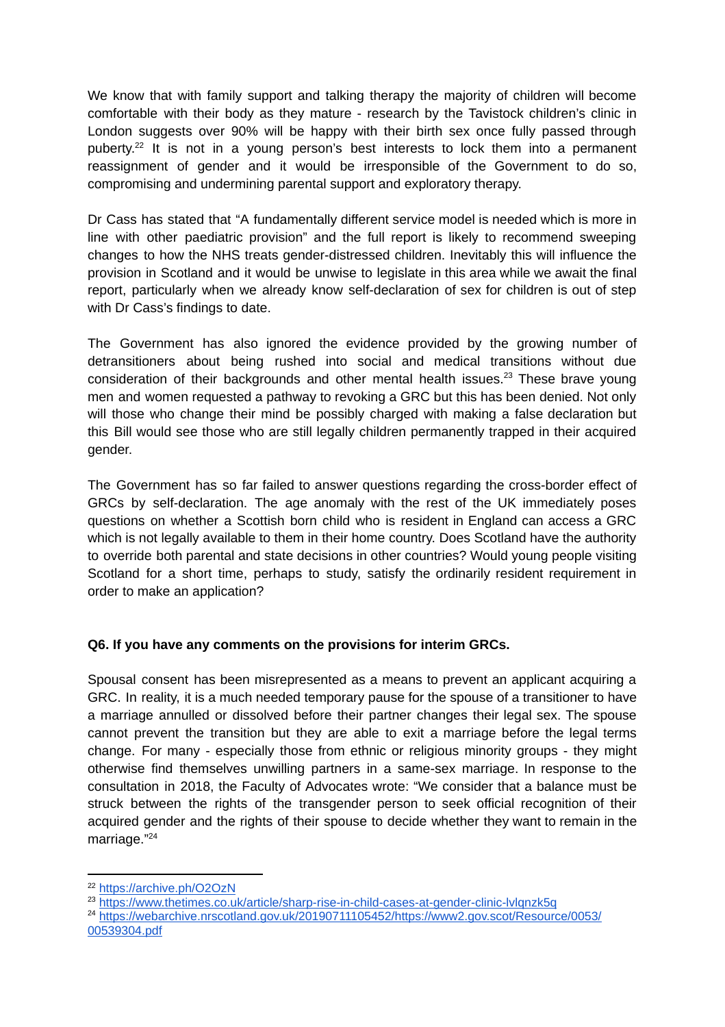We know that with family support and talking therapy the majority of children will become comfortable with their body as they mature - research by the Tavistock children's clinic in London suggests over 90% will be happy with their birth sex once fully passed through puberty.<sup>22</sup> It is not in a young person's best interests to lock them into a permanent reassignment of gender and it would be irresponsible of the Government to do so, compromising and undermining parental support and exploratory therapy.

Dr Cass has stated that "A fundamentally different service model is needed which is more in line with other paediatric provision" and the full report is likely to recommend sweeping changes to how the NHS treats gender-distressed children. Inevitably this will influence the provision in Scotland and it would be unwise to legislate in this area while we await the final report, particularly when we already know self-declaration of sex for children is out of step with Dr Cass's findings to date.

The Government has also ignored the evidence provided by the growing number of detransitioners about being rushed into social and medical transitions without due consideration of their backgrounds and other mental health issues.<sup>23</sup> These brave young men and women requested a pathway to revoking a GRC but this has been denied. Not only will those who change their mind be possibly charged with making a false declaration but this Bill would see those who are still legally children permanently trapped in their acquired gender.

The Government has so far failed to answer questions regarding the cross-border effect of GRCs by self-declaration. The age anomaly with the rest of the UK immediately poses questions on whether a Scottish born child who is resident in England can access a GRC which is not legally available to them in their home country. Does Scotland have the authority to override both parental and state decisions in other countries? Would young people visiting Scotland for a short time, perhaps to study, satisfy the ordinarily resident requirement in order to make an application?

### **Q6. If you have any comments on the provisions for interim GRCs.**

Spousal consent has been misrepresented as a means to prevent an applicant acquiring a GRC. In reality, it is a much needed temporary pause for the spouse of a transitioner to have a marriage annulled or dissolved before their partner changes their legal sex. The spouse cannot prevent the transition but they are able to exit a marriage before the legal terms change. For many - especially those from ethnic or religious minority groups - they might otherwise find themselves unwilling partners in a same-sex marriage. In response to the consultation in 2018, the Faculty of Advocates wrote: "We consider that a balance must be struck between the rights of the transgender person to seek official recognition of their acquired gender and the rights of their spouse to decide whether they want to remain in the marriage." 24

<sup>22</sup> <https://archive.ph/O2OzN>

<sup>23</sup> <https://www.thetimes.co.uk/article/sharp-rise-in-child-cases-at-gender-clinic-lvlqnzk5q>

<sup>&</sup>lt;sup>24</sup> [https://webarchive.nrscotland.gov.uk/20190711105452/https://www2.gov.scot/Resource/0053/](https://webarchive.nrscotland.gov.uk/20190711105452/https://www2.gov.scot/Resource/0053/00539304.pdf) [00539304.pdf](https://webarchive.nrscotland.gov.uk/20190711105452/https://www2.gov.scot/Resource/0053/00539304.pdf)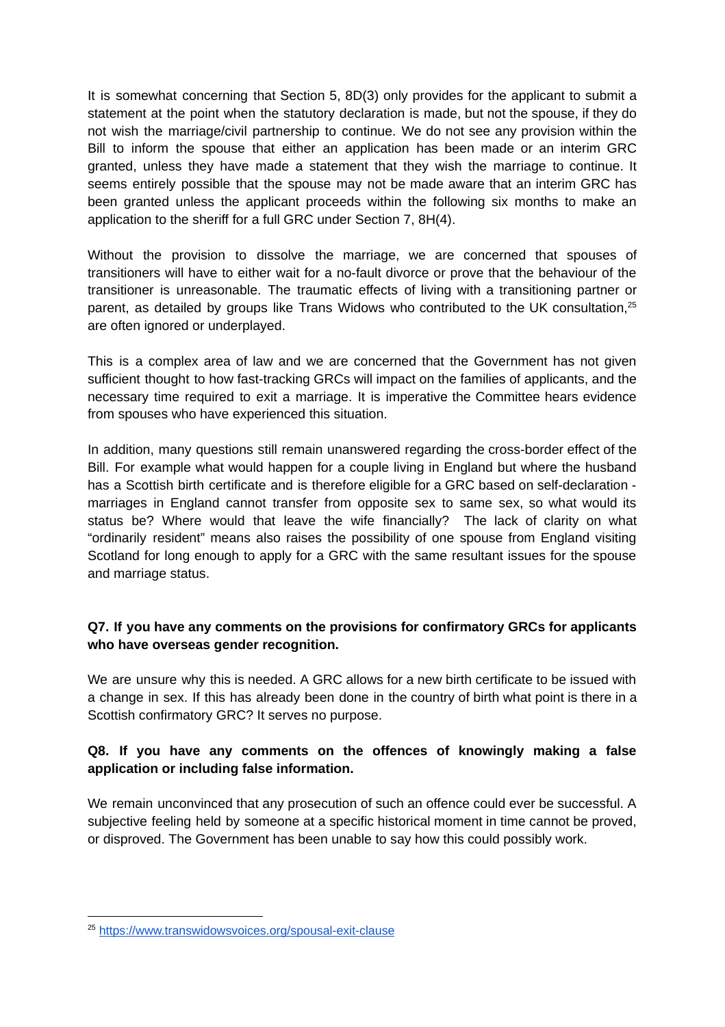It is somewhat concerning that Section 5, 8D(3) only provides for the applicant to submit a statement at the point when the statutory declaration is made, but not the spouse, if they do not wish the marriage/civil partnership to continue. We do not see any provision within the Bill to inform the spouse that either an application has been made or an interim GRC granted, unless they have made a statement that they wish the marriage to continue. It seems entirely possible that the spouse may not be made aware that an interim GRC has been granted unless the applicant proceeds within the following six months to make an application to the sheriff for a full GRC under Section 7, 8H(4).

Without the provision to dissolve the marriage, we are concerned that spouses of transitioners will have to either wait for a no-fault divorce or prove that the behaviour of the transitioner is unreasonable. The traumatic effects of living with a transitioning partner or parent, as detailed by groups like Trans Widows who contributed to the UK consultation, $^{25}$ are often ignored or underplayed.

This is a complex area of law and we are concerned that the Government has not given sufficient thought to how fast-tracking GRCs will impact on the families of applicants, and the necessary time required to exit a marriage. It is imperative the Committee hears evidence from spouses who have experienced this situation.

In addition, many questions still remain unanswered regarding the cross-border effect of the Bill. For example what would happen for a couple living in England but where the husband has a Scottish birth certificate and is therefore eligible for a GRC based on self-declaration marriages in England cannot transfer from opposite sex to same sex, so what would its status be? Where would that leave the wife financially? The lack of clarity on what "ordinarily resident" means also raises the possibility of one spouse from England visiting Scotland for long enough to apply for a GRC with the same resultant issues for the spouse and marriage status.

## **Q7. If you have any comments on the provisions for confirmatory GRCs for applicants who have overseas gender recognition.**

We are unsure why this is needed. A GRC allows for a new birth certificate to be issued with a change in sex. If this has already been done in the country of birth what point is there in a Scottish confirmatory GRC? It serves no purpose.

### **Q8. If you have any comments on the offences of knowingly making a false application or including false information.**

We remain unconvinced that any prosecution of such an offence could ever be successful. A subjective feeling held by someone at a specific historical moment in time cannot be proved, or disproved. The Government has been unable to say how this could possibly work.

<sup>25</sup> <https://www.transwidowsvoices.org/spousal-exit-clause>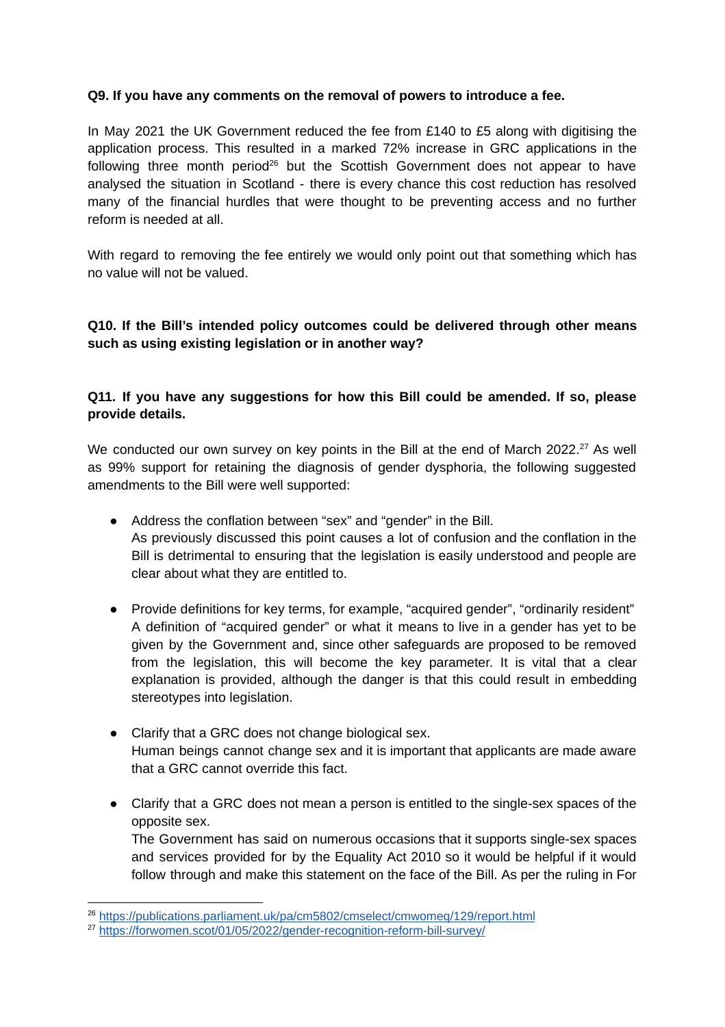#### **Q9. If you have any comments on the removal of powers to introduce a fee.**

In May 2021 the UK Government reduced the fee from £140 to £5 along with digitising the application process. This resulted in a marked 72% increase in GRC applications in the following three month period<sup>26</sup> but the Scottish Government does not appear to have analysed the situation in Scotland - there is every chance this cost reduction has resolved many of the financial hurdles that were thought to be preventing access and no further reform is needed at all.

With regard to removing the fee entirely we would only point out that something which has no value will not be valued.

### **Q10. If the Bill's intended policy outcomes could be delivered through other means such as using existing legislation or in another way?**

## **Q11. If you have any suggestions for how this Bill could be amended. If so, please provide details.**

We conducted our own survey on key points in the Bill at the end of March 2022. $^{27}$  As well as 99% support for retaining the diagnosis of gender dysphoria, the following suggested amendments to the Bill were well supported:

- Address the conflation between "sex" and "gender" in the Bill. As previously discussed this point causes a lot of confusion and the conflation in the Bill is detrimental to ensuring that the legislation is easily understood and people are clear about what they are entitled to.
- Provide definitions for key terms, for example, "acquired gender", "ordinarily resident" A definition of "acquired gender" or what it means to live in a gender has yet to be given by the Government and, since other safeguards are proposed to be removed from the legislation, this will become the key parameter. It is vital that a clear explanation is provided, although the danger is that this could result in embedding stereotypes into legislation.
- Clarify that a GRC does not change biological sex. Human beings cannot change sex and it is important that applicants are made aware that a GRC cannot override this fact.
- Clarify that a GRC does not mean a person is entitled to the single-sex spaces of the opposite sex.

The Government has said on numerous occasions that it supports single-sex spaces and services provided for by the Equality Act 2010 so it would be helpful if it would follow through and make this statement on the face of the Bill. As per the ruling in For

<sup>26</sup> <https://publications.parliament.uk/pa/cm5802/cmselect/cmwomeq/129/report.html>

<sup>27</sup> <https://forwomen.scot/01/05/2022/gender-recognition-reform-bill-survey/>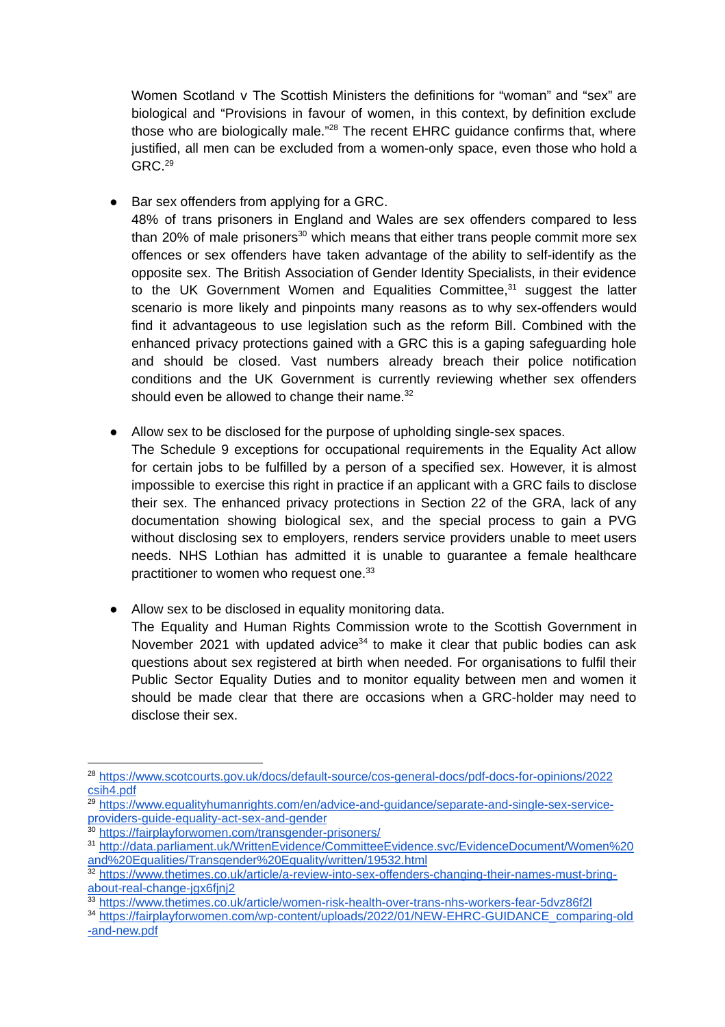Women Scotland v The Scottish Ministers the definitions for "woman" and "sex" are biological and "Provisions in favour of women, in this context, by definition exclude those who are biologically male."<sup>28</sup> The recent EHRC guidance confirms that, where justified, all men can be excluded from a women-only space, even those who hold a GRC. 29

● Bar sex offenders from applying for a GRC.

48% of trans prisoners in England and Wales are sex offenders compared to less than 20% of male prisoners $^{30}$  which means that either trans people commit more sex offences or sex offenders have taken advantage of the ability to self-identify as the opposite sex. The British Association of Gender Identity Specialists, in their evidence to the UK Government Women and Equalities Committee, <sup>31</sup> suggest the latter scenario is more likely and pinpoints many reasons as to why sex-offenders would find it advantageous to use legislation such as the reform Bill. Combined with the enhanced privacy protections gained with a GRC this is a gaping safeguarding hole and should be closed. Vast numbers already breach their police notification conditions and the UK Government is currently reviewing whether sex offenders should even be allowed to change their name.<sup>32</sup>

● Allow sex to be disclosed for the purpose of upholding single-sex spaces.

The Schedule 9 exceptions for occupational requirements in the Equality Act allow for certain jobs to be fulfilled by a person of a specified sex. However, it is almost impossible to exercise this right in practice if an applicant with a GRC fails to disclose their sex. The enhanced privacy protections in Section 22 of the GRA, lack of any documentation showing biological sex, and the special process to gain a PVG without disclosing sex to employers, renders service providers unable to meet users needs. NHS Lothian has admitted it is unable to guarantee a female healthcare practitioner to women who request one.<sup>33</sup>

● Allow sex to be disclosed in equality monitoring data.

The Equality and Human Rights Commission wrote to the Scottish Government in November 2021 with updated advice<sup>34</sup> to make it clear that public bodies can ask questions about sex registered at birth when needed. For organisations to fulfil their Public Sector Equality Duties and to monitor equality between men and women it should be made clear that there are occasions when a GRC-holder may need to disclose their sex.

<sup>30</sup> <https://fairplayforwomen.com/transgender-prisoners/>

<sup>28</sup> [https://www.scotcourts.gov.uk/docs/default-source/cos-general-docs/pdf-docs-for-opinions/2022](https://www.scotcourts.gov.uk/docs/default-source/cos-general-docs/pdf-docs-for-opinions/2022csih4.pdf) [csih4.pdf](https://www.scotcourts.gov.uk/docs/default-source/cos-general-docs/pdf-docs-for-opinions/2022csih4.pdf)

<sup>&</sup>lt;sup>29</sup> [https://www.equalityhumanrights.com/en/advice-and-guidance/separate-and-single-sex-service](https://www.equalityhumanrights.com/en/advice-and-guidance/separate-and-single-sex-service-providers-guide-equality-act-sex-and-gender)[providers-guide-equality-act-sex-and-gender](https://www.equalityhumanrights.com/en/advice-and-guidance/separate-and-single-sex-service-providers-guide-equality-act-sex-and-gender)

<sup>31</sup> [http://data.parliament.uk/WrittenEvidence/CommitteeEvidence.svc/EvidenceDocument/Women%20](http://data.parliament.uk/WrittenEvidence/CommitteeEvidence.svc/EvidenceDocument/Women%20and%20Equalities/Transgender%20Equality/written/19532.html) [and%20Equalities/Transgender%20Equality/written/19532.html](http://data.parliament.uk/WrittenEvidence/CommitteeEvidence.svc/EvidenceDocument/Women%20and%20Equalities/Transgender%20Equality/written/19532.html)

<sup>32</sup> [https://www.thetimes.co.uk/article/a-review-into-sex-offenders-changing-their-names-must-bring](https://www.thetimes.co.uk/article/a-review-into-sex-offenders-changing-their-names-must-bring-about-real-change-jgx6fjnj2)[about-real-change-jgx6fjnj2](https://www.thetimes.co.uk/article/a-review-into-sex-offenders-changing-their-names-must-bring-about-real-change-jgx6fjnj2)

<sup>33</sup> <https://www.thetimes.co.uk/article/women-risk-health-over-trans-nhs-workers-fear-5dvz86f2l>

<sup>34</sup> [https://fairplayforwomen.com/wp-content/uploads/2022/01/NEW-EHRC-GUIDANCE\\_comparing-old](https://fairplayforwomen.com/wp-content/uploads/2022/01/NEW-EHRC-GUIDANCE_comparing-old-and-new.pdf) [-and-new.pdf](https://fairplayforwomen.com/wp-content/uploads/2022/01/NEW-EHRC-GUIDANCE_comparing-old-and-new.pdf)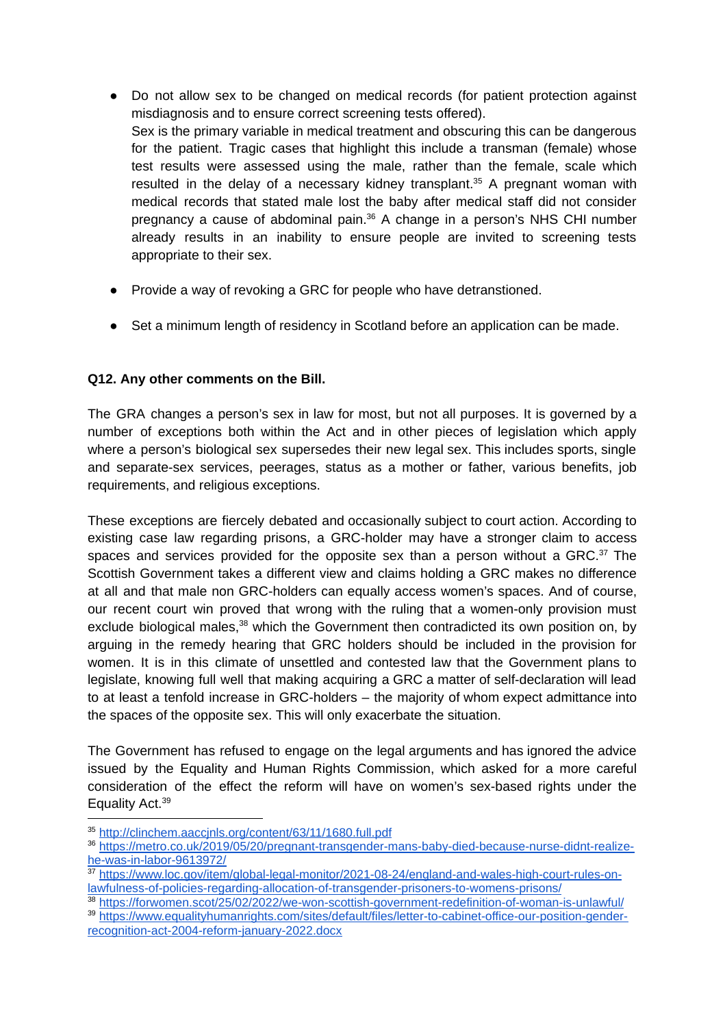- Do not allow sex to be changed on medical records (for patient protection against misdiagnosis and to ensure correct screening tests offered). Sex is the primary variable in medical treatment and obscuring this can be dangerous for the patient. Tragic cases that highlight this include a transman (female) whose test results were assessed using the male, rather than the female, scale which resulted in the delay of a necessary kidney transplant.<sup>35</sup> A pregnant woman with medical records that stated male lost the baby after medical staff did not consider pregnancy a cause of abdominal pain.<sup>36</sup> A change in a person's NHS CHI number already results in an inability to ensure people are invited to screening tests appropriate to their sex.
- Provide a way of revoking a GRC for people who have detranstioned.
- Set a minimum length of residency in Scotland before an application can be made.

### **Q12. Any other comments on the Bill.**

The GRA changes a person's sex in law for most, but not all purposes. It is governed by a number of exceptions both within the Act and in other pieces of legislation which apply where a person's biological sex supersedes their new legal sex. This includes sports, single and separate-sex services, peerages, status as a mother or father, various benefits, job requirements, and religious exceptions.

These exceptions are fiercely debated and occasionally subject to court action. According to existing case law regarding prisons, a GRC-holder may have a stronger claim to access spaces and services provided for the opposite sex than a person without a GRC. $37$  The Scottish Government takes a different view and claims holding a GRC makes no difference at all and that male non GRC-holders can equally access women's spaces. And of course, our recent court win proved that wrong with the ruling that a women-only provision must exclude biological males,<sup>38</sup> which the Government then contradicted its own position on, by arguing in the remedy hearing that GRC holders should be included in the provision for women. It is in this climate of unsettled and contested law that the Government plans to legislate, knowing full well that making acquiring a GRC a matter of self-declaration will lead to at least a tenfold increase in GRC-holders – the majority of whom expect admittance into the spaces of the opposite sex. This will only exacerbate the situation.

The Government has refused to engage on the legal arguments and has ignored the advice issued by the Equality and Human Rights Commission, which asked for a more careful consideration of the effect the reform will have on women's sex-based rights under the Equality Act. 39

<sup>35</sup> <http://clinchem.aaccjnls.org/content/63/11/1680.full.pdf>

<sup>36</sup> [https://metro.co.uk/2019/05/20/pregnant-transgender-mans-baby-died-because-nurse-didnt-realize](https://metro.co.uk/2019/05/20/pregnant-transgender-mans-baby-died-because-nurse-didnt-realize-he-was-in-labor-9613972/)[he-was-in-labor-9613972/](https://metro.co.uk/2019/05/20/pregnant-transgender-mans-baby-died-because-nurse-didnt-realize-he-was-in-labor-9613972/)

<sup>37</sup> [https://www.loc.gov/item/global-legal-monitor/2021-08-24/england-and-wales-high-court-rules-on](https://www.loc.gov/item/global-legal-monitor/2021-08-24/england-and-wales-high-court-rules-on-lawfulness-of-policies-regarding-allocation-of-transgender-prisoners-to-womens-prisons/)[lawfulness-of-policies-regarding-allocation-of-transgender-prisoners-to-womens-prisons/](https://www.loc.gov/item/global-legal-monitor/2021-08-24/england-and-wales-high-court-rules-on-lawfulness-of-policies-regarding-allocation-of-transgender-prisoners-to-womens-prisons/)

<sup>38</sup> <https://forwomen.scot/25/02/2022/we-won-scottish-government-redefinition-of-woman-is-unlawful/>

<sup>39</sup> [https://www.equalityhumanrights.com/sites/default/files/letter-to-cabinet-office-our-position-gender](https://www.equalityhumanrights.com/sites/default/files/letter-to-cabinet-office-our-position-gender-recognition-act-2004-reform-january-2022.docx)[recognition-act-2004-reform-january-2022.docx](https://www.equalityhumanrights.com/sites/default/files/letter-to-cabinet-office-our-position-gender-recognition-act-2004-reform-january-2022.docx)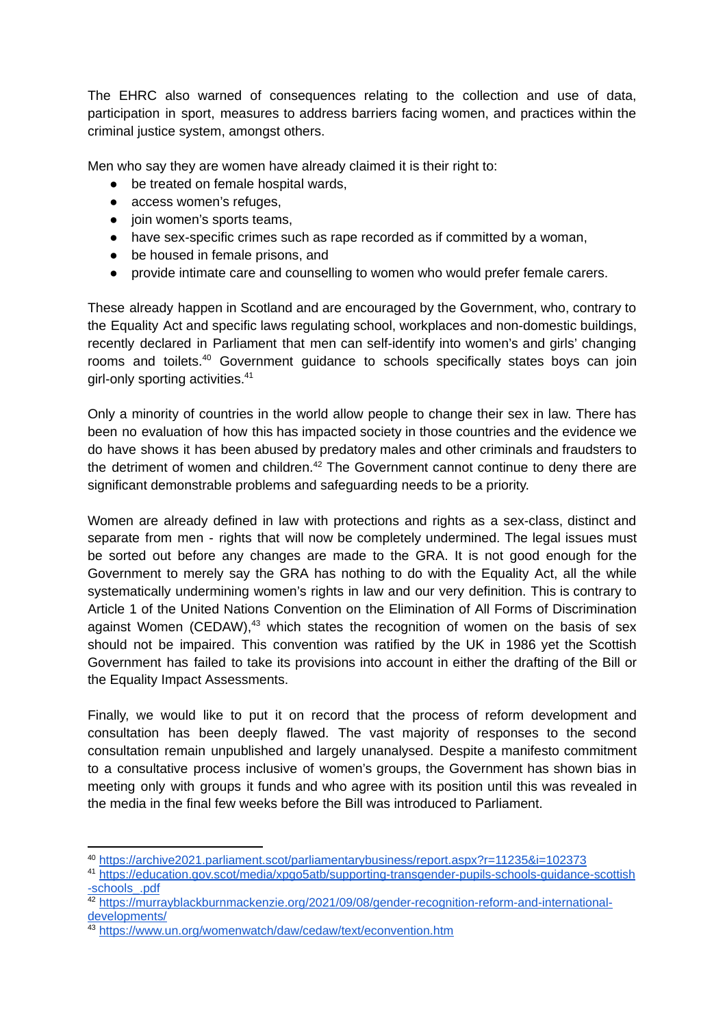The EHRC also warned of consequences relating to the collection and use of data, participation in sport, measures to address barriers facing women, and practices within the criminal justice system, amongst others.

Men who say they are women have already claimed it is their right to:

- be treated on female hospital wards,
- access women's refuges,
- join women's sports teams,
- have sex-specific crimes such as rape recorded as if committed by a woman,
- be housed in female prisons, and
- provide intimate care and counselling to women who would prefer female carers.

These already happen in Scotland and are encouraged by the Government, who, contrary to the Equality Act and specific laws regulating school, workplaces and non-domestic buildings, recently declared in Parliament that men can self-identify into women's and girls' changing rooms and toilets. <sup>40</sup> Government guidance to schools specifically states boys can join girl-only sporting activities. 41

Only a minority of countries in the world allow people to change their sex in law. There has been no evaluation of how this has impacted society in those countries and the evidence we do have shows it has been abused by predatory males and other criminals and fraudsters to the detriment of women and children.<sup>42</sup> The Government cannot continue to deny there are significant demonstrable problems and safeguarding needs to be a priority.

Women are already defined in law with protections and rights as a sex-class, distinct and separate from men - rights that will now be completely undermined. The legal issues must be sorted out before any changes are made to the GRA. It is not good enough for the Government to merely say the GRA has nothing to do with the Equality Act, all the while systematically undermining women's rights in law and our very definition. This is contrary to Article 1 of the United Nations Convention on the Elimination of All Forms of Discrimination against Women (CEDAW),<sup>43</sup> which states the recognition of women on the basis of sex should not be impaired. This convention was ratified by the UK in 1986 yet the Scottish Government has failed to take its provisions into account in either the drafting of the Bill or the Equality Impact Assessments.

Finally, we would like to put it on record that the process of reform development and consultation has been deeply flawed. The vast majority of responses to the second consultation remain unpublished and largely unanalysed. Despite a manifesto commitment to a consultative process inclusive of women's groups, the Government has shown bias in meeting only with groups it funds and who agree with its position until this was revealed in the media in the final few weeks before the Bill was introduced to Parliament.

<sup>40</sup> <https://archive2021.parliament.scot/parliamentarybusiness/report.aspx?r=11235&i=102373>

<sup>41</sup> [https://education.gov.scot/media/xpgo5atb/supporting-transgender-pupils-schools-guidance-scottish](https://education.gov.scot/media/xpgo5atb/supporting-transgender-pupils-schools-guidance-scottish-schools_.pdf) [-schools\\_.pdf](https://education.gov.scot/media/xpgo5atb/supporting-transgender-pupils-schools-guidance-scottish-schools_.pdf)

<sup>42</sup> [https://murrayblackburnmackenzie.org/2021/09/08/gender-recognition-reform-and-international](https://murrayblackburnmackenzie.org/2021/09/08/gender-recognition-reform-and-international-developments/)[developments/](https://murrayblackburnmackenzie.org/2021/09/08/gender-recognition-reform-and-international-developments/)

<sup>43</sup> <https://www.un.org/womenwatch/daw/cedaw/text/econvention.htm>